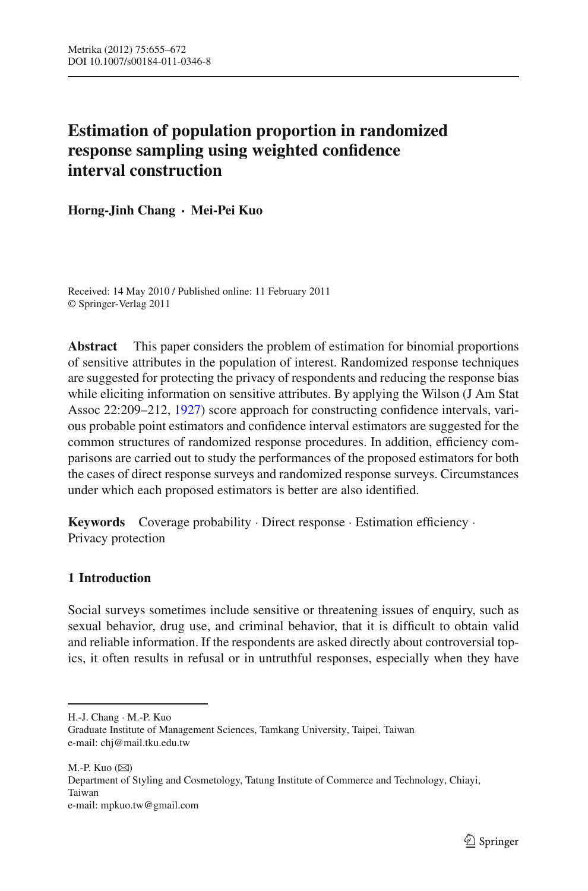# **Estimation of population proportion in randomized response sampling using weighted confidence interval construction**

**Horng-Jinh Chang · Mei-Pei Kuo**

Received: 14 May 2010 / Published online: 11 February 2011 © Springer-Verlag 2011

**Abstract** This paper considers the problem of estimation for binomial proportions of sensitive attributes in the population of interest. Randomized response techniques are suggested for protecting the privacy of respondents and reducing the response bias while eliciting information on sensitive attributes. By applying the Wilson (J Am Stat Assoc 22:209–212, [1927\)](#page-17-0) score approach for constructing confidence intervals, various probable point estimators and confidence interval estimators are suggested for the common structures of randomized response procedures. In addition, efficiency comparisons are carried out to study the performances of the proposed estimators for both the cases of direct response surveys and randomized response surveys. Circumstances under which each proposed estimators is better are also identified.

**Keywords** Coverage probability · Direct response · Estimation efficiency · Privacy protection

# **1 Introduction**

Social surveys sometimes include sensitive or threatening issues of enquiry, such as sexual behavior, drug use, and criminal behavior, that it is difficult to obtain valid and reliable information. If the respondents are asked directly about controversial topics, it often results in refusal or in untruthful responses, especially when they have

M.-P. Kuo  $(\boxtimes)$ Department of Styling and Cosmetology, Tatung Institute of Commerce and Technology, Chiayi, Taiwan e-mail: mpkuo.tw@gmail.com

H.-J. Chang · M.-P. Kuo

Graduate Institute of Management Sciences, Tamkang University, Taipei, Taiwan e-mail: chj@mail.tku.edu.tw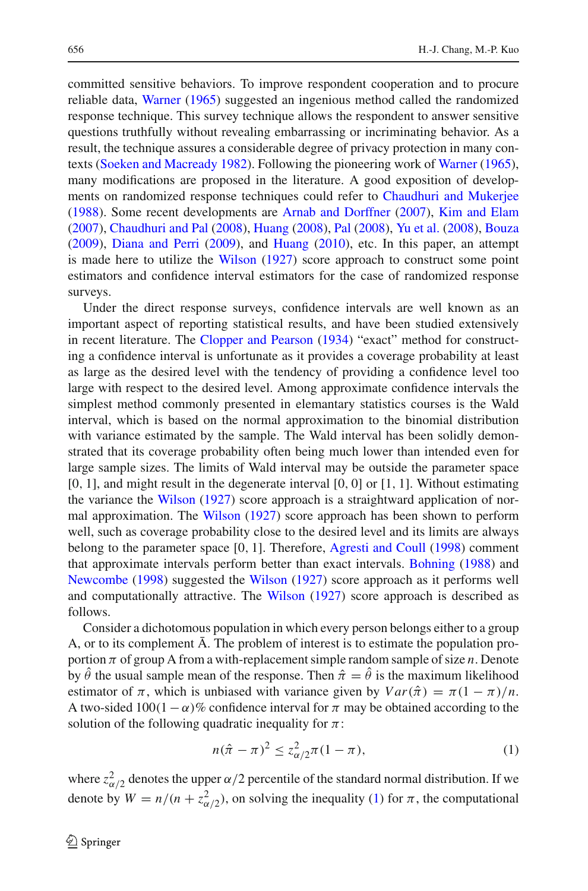committed sensitive behaviors. To improve respondent cooperation and to procure reliable data, [Warner](#page-17-1) [\(1965\)](#page-17-1) suggested an ingenious method called the randomized response technique. This survey technique allows the respondent to answer sensitive questions truthfully without revealing embarrassing or incriminating behavior. As a result, the technique assures a considerable degree of privacy protection in many contexts [\(Soeken and Macready 1982\)](#page-17-2). Following the pioneering work of [Warner](#page-17-1) [\(1965](#page-17-1)), many modifications are proposed in the literature. A good exposition of developments on randomized response techniques could refer to [Chaudhuri and Mukerjee](#page-16-0) [\(1988\)](#page-16-0). Some recent developments are [Arnab and Dorffner](#page-16-1) [\(2007\)](#page-16-1), [Kim and Elam](#page-16-2) [\(2007\)](#page-16-2), [Chaudhuri and Pal](#page-16-3) [\(2008](#page-16-3)), [Huang](#page-16-4) [\(2008\)](#page-16-4), [Pal](#page-17-3) [\(2008](#page-17-3)), [Yu et al.](#page-17-4) [\(2008](#page-17-4)), [Bouza](#page-16-5) [\(2009\)](#page-16-5), [Diana and Perri](#page-16-6) [\(2009](#page-16-6)), and [Huang](#page-16-7) [\(2010](#page-16-7)), etc. In this paper, an attempt is made here to utilize the [Wilson](#page-17-0) [\(1927\)](#page-17-0) score approach to construct some point estimators and confidence interval estimators for the case of randomized response surveys.

Under the direct response surveys, confidence intervals are well known as an important aspect of reporting statistical results, and have been studied extensively in recent literature. The [Clopper and Pearson](#page-16-8) [\(1934\)](#page-16-8) "exact" method for constructing a confidence interval is unfortunate as it provides a coverage probability at least as large as the desired level with the tendency of providing a confidence level too large with respect to the desired level. Among approximate confidence intervals the simplest method commonly presented in elemantary statistics courses is the Wald interval, which is based on the normal approximation to the binomial distribution with variance estimated by the sample. The Wald interval has been solidly demonstrated that its coverage probability often being much lower than intended even for large sample sizes. The limits of Wald interval may be outside the parameter space  $[0, 1]$ , and might result in the degenerate interval  $[0, 0]$  or  $[1, 1]$ . Without estimating the variance the [Wilson](#page-17-0) [\(1927\)](#page-17-0) score approach is a straightward application of normal approximation. The [Wilson](#page-17-0) [\(1927\)](#page-17-0) score approach has been shown to perform well, such as coverage probability close to the desired level and its limits are always belong to the parameter space [0, 1]. Therefore, [Agresti and Coull](#page-16-9) [\(1998\)](#page-16-9) comment that approximate intervals perform better than exact intervals. [Bohning](#page-16-10) [\(1988\)](#page-16-10) and [Newcombe](#page-16-11) [\(1998](#page-16-11)) suggested the [Wilson](#page-17-0) [\(1927](#page-17-0)) score approach as it performs well and computationally attractive. The [Wilson](#page-17-0) [\(1927](#page-17-0)) score approach is described as follows.

Consider a dichotomous population in which every person belongs either to a group A, or to its complement  $\overline{A}$ . The problem of interest is to estimate the population proportion  $\pi$  of group A from a with-replacement simple random sample of size  $n$ . Denote by  $\hat{\theta}$  the usual sample mean of the response. Then  $\hat{\pi} = \hat{\theta}$  is the maximum likelihood estimator of  $\pi$ , which is unbiased with variance given by  $Var(\hat{\pi}) = \pi(1 - \pi)/n$ . A two-sided  $100(1 - \alpha)\%$  confidence interval for  $\pi$  may be obtained according to the solution of the following quadratic inequality for  $\pi$ :

$$
n(\hat{\pi} - \pi)^2 \le z_{\alpha/2}^2 \pi (1 - \pi),
$$
 (1)

<span id="page-1-0"></span>where  $z_{\alpha/2}^2$  denotes the upper  $\alpha/2$  percentile of the standard normal distribution. If we denote by  $W = n/(n + z_{\alpha/2}^2)$ , on solving the inequality [\(1\)](#page-1-0) for  $\pi$ , the computational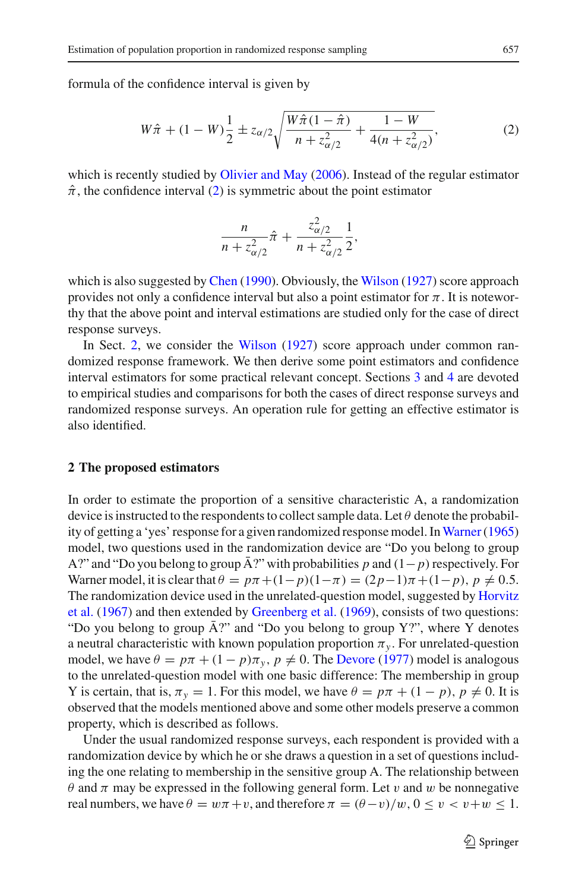<span id="page-2-0"></span>formula of the confidence interval is given by

$$
W\hat{\pi} + (1 - W)\frac{1}{2} \pm z_{\alpha/2} \sqrt{\frac{W\hat{\pi}(1 - \hat{\pi})}{n + z_{\alpha/2}^2} + \frac{1 - W}{4(n + z_{\alpha/2}^2)}},
$$
(2)

which is recently studied by [Olivier and May](#page-17-5) [\(2006\)](#page-17-5). Instead of the regular estimator  $\hat{\pi}$ , the confidence interval [\(2\)](#page-2-0) is symmetric about the point estimator

$$
\frac{n}{n+z_{\alpha/2}^2}\hat{\pi}+\frac{z_{\alpha/2}^2}{n+z_{\alpha/2}^2}\frac{1}{2},
$$

which is also suggested by [Chen](#page-16-12) [\(1990\)](#page-16-12). Obviously, the [Wilson](#page-17-0) [\(1927](#page-17-0)) score approach provides not only a confidence interval but also a point estimator for  $\pi$ . It is noteworthy that the above point and interval estimations are studied only for the case of direct response surveys.

In Sect. [2,](#page-2-1) we consider the [Wilson](#page-17-0) [\(1927](#page-17-0)) score approach under common randomized response framework. We then derive some point estimators and confidence interval estimators for some practical relevant concept. Sections [3](#page-6-0) and [4](#page-10-0) are devoted to empirical studies and comparisons for both the cases of direct response surveys and randomized response surveys. An operation rule for getting an effective estimator is also identified.

# <span id="page-2-1"></span>**2 The proposed estimators**

In order to estimate the proportion of a sensitive characteristic A, a randomization device is instructed to the respondents to collect sample data. Let  $\theta$  denote the probability of getting a 'yes' response for a given randomized response model. In Warner (1965) model, two questions used in the randomization device are "Do you belong to group A?" and "Do you belong to group  $\bar{A}$ ?" with probabilities p and  $(1-p)$  respectively. For Warner model, it is clear that  $\theta = p\pi + (1-p)(1-\pi) = (2p-1)\pi + (1-p)$ ,  $p \neq 0.5$ . The [randomization](#page-16-13) [device](#page-16-13) [used](#page-16-13) [in](#page-16-13) [the](#page-16-13) [unrelated-question](#page-16-13) [model,](#page-16-13) [suggested](#page-16-13) [by](#page-16-13) Horvitz et al. [\(1967\)](#page-16-13) and then extended by [Greenberg et al.](#page-16-14) [\(1969\)](#page-16-14), consists of two questions: "Do you belong to group  $\bar{A}$ ?" and "Do you belong to group Y?", where Y denotes a neutral characteristic with known population proportion  $\pi_y$ . For unrelated-question model, we have  $\theta = p\pi + (1 - p)\pi_y$ ,  $p \neq 0$ . The [Devore](#page-16-15) [\(1977](#page-16-15)) model is analogous to the unrelated-question model with one basic difference: The membership in group Y is certain, that is,  $\pi_y = 1$ . For this model, we have  $\theta = p\pi + (1 - p)$ ,  $p \neq 0$ . It is observed that the models mentioned above and some other models preserve a common property, which is described as follows.

Under the usual randomized response surveys, each respondent is provided with a randomization device by which he or she draws a question in a set of questions including the one relating to membership in the sensitive group A. The relationship between θ and π may be expressed in the following general form. Let v and w be nonnegative real numbers, we have  $\theta = w\pi + v$ , and therefore  $\pi = (\theta - v)/w$ ,  $0 \le v < v+w \le 1$ .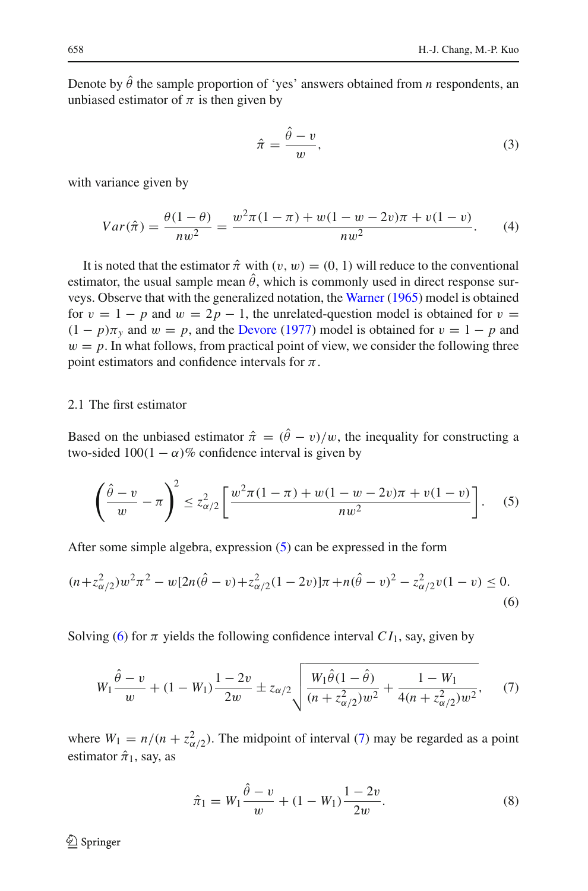Denote by  $\hat{\theta}$  the sample proportion of 'yes' answers obtained from *n* respondents, an unbiased estimator of  $\pi$  is then given by

$$
\hat{\pi} = \frac{\hat{\theta} - v}{w},\tag{3}
$$

with variance given by

<span id="page-3-3"></span>
$$
Var(\hat{\pi}) = \frac{\theta(1-\theta)}{nw^2} = \frac{w^2 \pi (1-\pi) + w(1-w-2v)\pi + v(1-v)}{nw^2}.
$$
 (4)

<span id="page-3-5"></span>It is noted that the estimator  $\hat{\pi}$  with  $(v, w) = (0, 1)$  will reduce to the conventional estimator, the usual sample mean  $\hat{\theta}$ , which is commonly used in direct response surveys. Observe that with the generalized notation, the [Warner](#page-17-1) [\(1965\)](#page-17-1) model is obtained for  $v = 1 - p$  and  $w = 2p - 1$ , the unrelated-question model is obtained for  $v =$  $(1 - p)\pi$ <sub>y</sub> and  $w = p$ , and the [Devore](#page-16-15) [\(1977](#page-16-15)) model is obtained for  $v = 1 - p$  and  $w = p$ . In what follows, from practical point of view, we consider the following three point estimators and confidence intervals for  $\pi$ .

## 2.1 The first estimator

Based on the unbiased estimator  $\hat{\pi} = (\hat{\theta} - v)/w$ , the inequality for constructing a two-sided  $100(1 - \alpha)\%$  confidence interval is given by

$$
\left(\frac{\hat{\theta} - v}{w} - \pi\right)^2 \le z_{\alpha/2}^2 \left[ \frac{w^2 \pi (1 - \pi) + w(1 - w - 2v)\pi + v(1 - v)}{nw^2} \right].
$$
 (5)

<span id="page-3-0"></span>After some simple algebra, expression [\(5\)](#page-3-0) can be expressed in the form

<span id="page-3-1"></span>
$$
(n + z\alpha/22)w2 \pi2 - w[2n(\hat{\theta} - v) + z\alpha/22(1 - 2v)]\pi + n(\hat{\theta} - v)2 - z\alpha/22v(1 - v) \le 0.
$$
\n(6)

Solving [\(6\)](#page-3-1) for  $\pi$  yields the following confidence interval  $CI_1$ , say, given by

$$
W_1 \frac{\hat{\theta} - v}{w} + (1 - W_1) \frac{1 - 2v}{2w} \pm z_{\alpha/2} \sqrt{\frac{W_1 \hat{\theta} (1 - \hat{\theta})}{(n + z_{\alpha/2}^2) w^2} + \frac{1 - W_1}{4(n + z_{\alpha/2}^2) w^2}},
$$
(7)

<span id="page-3-2"></span>where  $W_1 = n/(n + z_{\alpha/2}^2)$ . The midpoint of interval [\(7\)](#page-3-2) may be regarded as a point estimator  $\hat{\pi}_1$ , say, as

$$
\hat{\pi}_1 = W_1 \frac{\hat{\theta} - v}{w} + (1 - W_1) \frac{1 - 2v}{2w}.
$$
\n(8)

<span id="page-3-4"></span> $\bigcircled{2}$  Springer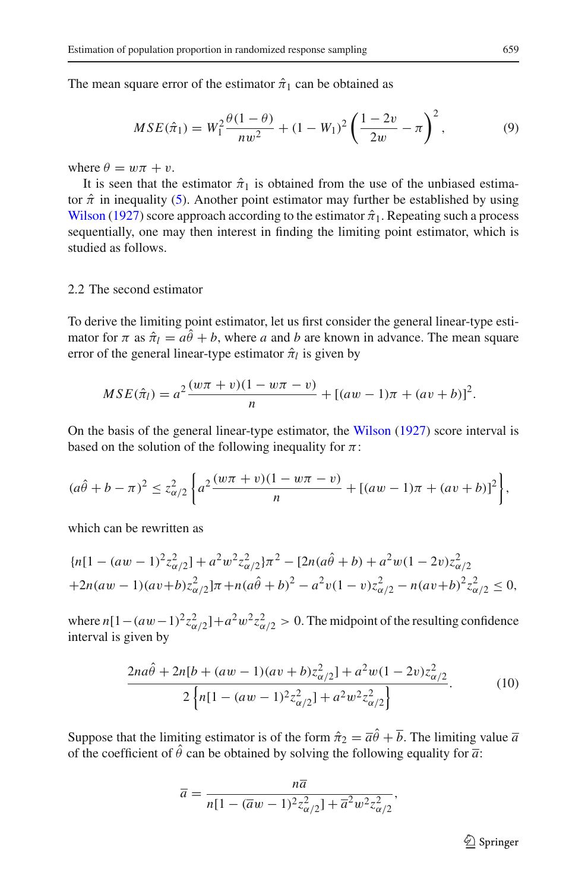<span id="page-4-1"></span>The mean square error of the estimator  $\hat{\pi}_1$  can be obtained as

$$
MSE(\hat{\pi}_1) = W_1^2 \frac{\theta(1-\theta)}{nw^2} + (1-W_1)^2 \left(\frac{1-2v}{2w} - \pi\right)^2, \tag{9}
$$

where  $\theta = w\pi + v$ .

It is seen that the estimator  $\hat{\pi}_1$  is obtained from the use of the unbiased estimator  $\hat{\pi}$  in inequality [\(5\)](#page-3-0). Another point estimator may further be established by using [Wilson](#page-17-0) [\(1927](#page-17-0)) score approach according to the estimator  $\hat{\pi}_1$ . Repeating such a process sequentially, one may then interest in finding the limiting point estimator, which is studied as follows.

## 2.2 The second estimator

To derive the limiting point estimator, let us first consider the general linear-type estimator for  $\pi$  as  $\hat{\pi}_l = a\hat{\theta} + b$ , where *a* and *b* are known in advance. The mean square error of the general linear-type estimator  $\hat{\pi}_l$  is given by

$$
MSE(\hat{\pi}_l) = a^2 \frac{(w\pi + v)(1 - w\pi - v)}{n} + [(aw - 1)\pi + (av + b)]^2.
$$

On the basis of the general linear-type estimator, the [Wilson](#page-17-0) [\(1927\)](#page-17-0) score interval is based on the solution of the following inequality for  $\pi$ :

$$
(a\hat{\theta} + b - \pi)^2 \le z_{\alpha/2}^2 \left\{ a^2 \frac{(w\pi + v)(1 - w\pi - v)}{n} + [(aw - 1)\pi + (av + b)]^2 \right\},\,
$$

which can be rewritten as

$$
{n[1 - (aw - 1)^2 z_{\alpha/2}^2] + a^2 w^2 z_{\alpha/2}^2} \pi^2 - [2n(a\hat{\theta} + b) + a^2 w(1 - 2v)z_{\alpha/2}^2
$$
  
+2n(aw - 1)(av + b)z\_{\alpha/2}^2] \pi + n(a\hat{\theta} + b)^2 - a^2 v(1 - v)z\_{\alpha/2}^2 - n(av + b)^2 z\_{\alpha/2}^2 \le 0,

where  $n[1-(aw-1)^2z_{\alpha/2}^2]+a^2w^2z_{\alpha/2}^2>0$ . The midpoint of the resulting confidence interval is given by

$$
\frac{2na\hat{\theta} + 2n[b + (aw - 1)(av + b)z_{\alpha/2}^2] + a^2w(1 - 2v)z_{\alpha/2}^2}{2\left\{n[1 - (aw - 1)^2 z_{\alpha/2}^2] + a^2w^2 z_{\alpha/2}^2\right\}}.
$$
 (10)

<span id="page-4-0"></span>Suppose that the limiting estimator is of the form  $\hat{\pi}_2 = \overline{a}\hat{\theta} + \overline{b}$ . The limiting value  $\overline{a}$ of the coefficient of  $\hat{\theta}$  can be obtained by solving the following equality for  $\bar{a}$ .

$$
\overline{a} = \frac{n\overline{a}}{n[1 - (\overline{a}w - 1)^2 z_{\alpha/2}^2] + \overline{a}^2 w^2 z_{\alpha/2}^2},
$$

<sup>2</sup> Springer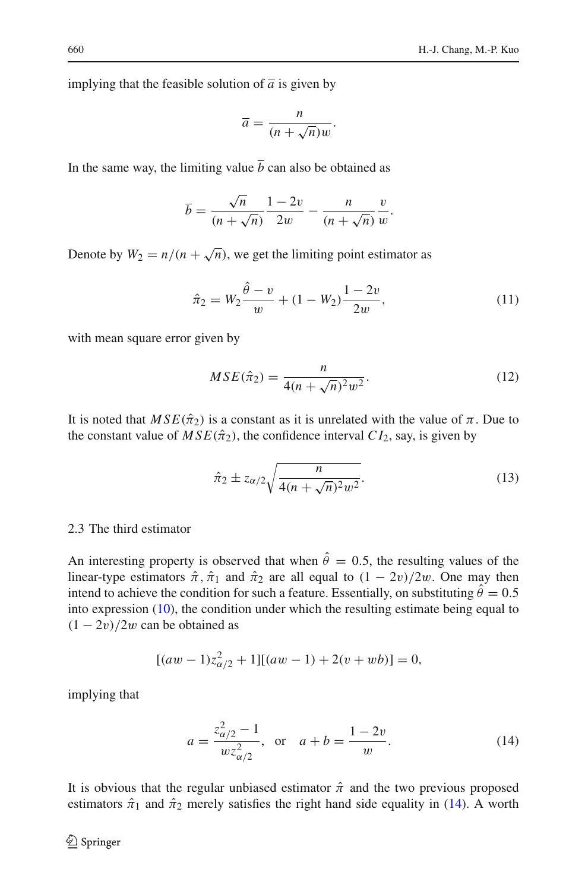implying that the feasible solution of  $\overline{a}$  is given by

$$
\overline{a} = \frac{n}{(n + \sqrt{n})w}.
$$

In the same way, the limiting value  $\bar{b}$  can also be obtained as

$$
\overline{b} = \frac{\sqrt{n}}{(n + \sqrt{n})} \frac{1 - 2v}{2w} - \frac{n}{(n + \sqrt{n})} \frac{v}{w}.
$$

Denote by  $W_2 = n/(n + \sqrt{n})$ , we get the limiting point estimator as

$$
\hat{\pi}_2 = W_2 \frac{\hat{\theta} - v}{w} + (1 - W_2) \frac{1 - 2v}{2w},\tag{11}
$$

<span id="page-5-2"></span><span id="page-5-1"></span>with mean square error given by

$$
MSE(\hat{\pi}_2) = \frac{n}{4(n + \sqrt{n})^2 w^2}.
$$
 (12)

It is noted that  $MSE(\hat{\pi}_2)$  is a constant as it is unrelated with the value of  $\pi$ . Due to the constant value of  $MSE(\hat{\pi}_2)$ , the confidence interval  $CI_2$ , say, is given by

$$
\hat{\pi}_2 \pm z_{\alpha/2} \sqrt{\frac{n}{4(n+\sqrt{n})^2 w^2}}.
$$
\n(13)

## <span id="page-5-3"></span>2.3 The third estimator

An interesting property is observed that when  $\hat{\theta} = 0.5$ , the resulting values of the linear-type estimators  $\hat{\pi}$ ,  $\hat{\pi}_1$  and  $\hat{\pi}_2$  are all equal to  $(1 - 2v)/2w$ . One may then intend to achieve the condition for such a feature. Essentially, on substituting  $\hat{\theta} = 0.5$ into expression [\(10\)](#page-4-0), the condition under which the resulting estimate being equal to  $(1 - 2v)/2w$  can be obtained as

$$
[(aw - 1)z\alpha/22 + 1][(aw - 1) + 2(v + wb)] = 0,
$$

<span id="page-5-0"></span>implying that

$$
a = \frac{z_{\alpha/2}^2 - 1}{w z_{\alpha/2}^2}, \text{ or } a + b = \frac{1 - 2v}{w}.
$$
 (14)

It is obvious that the regular unbiased estimator  $\hat{\pi}$  and the two previous proposed estimators  $\hat{\pi}_1$  and  $\hat{\pi}_2$  merely satisfies the right hand side equality in [\(14\)](#page-5-0). A worth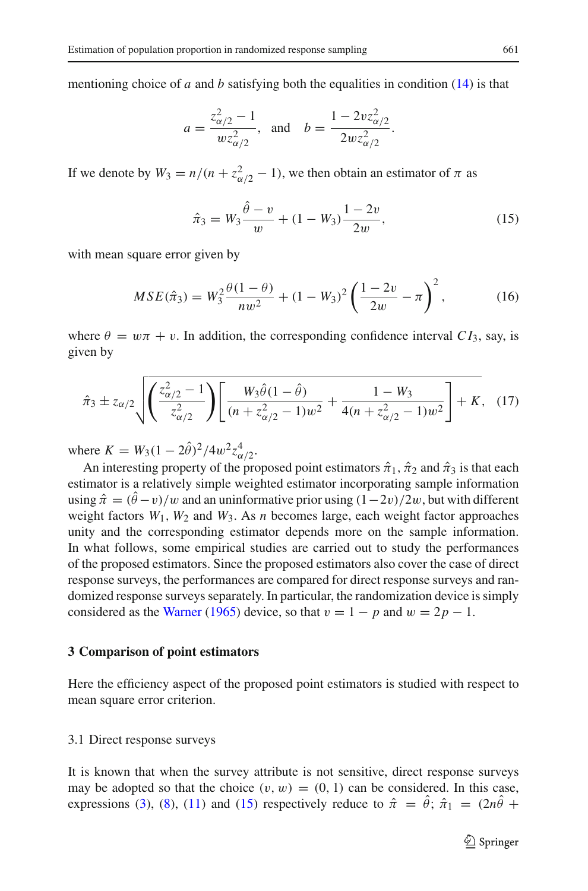mentioning choice of *a* and *b* satisfying both the equalities in condition [\(14\)](#page-5-0) is that

$$
a = \frac{z_{\alpha/2}^2 - 1}{w z_{\alpha/2}^2}
$$
, and  $b = \frac{1 - 2v z_{\alpha/2}^2}{2w z_{\alpha/2}^2}$ .

If we denote by  $W_3 = n/(n + z_{\alpha/2}^2 - 1)$ , we then obtain an estimator of  $\pi$  as

$$
\hat{\pi}_3 = W_3 \frac{\hat{\theta} - v}{w} + (1 - W_3) \frac{1 - 2v}{2w},\tag{15}
$$

<span id="page-6-1"></span>with mean square error given by

$$
MSE(\hat{\pi}_3) = W_3^2 \frac{\theta(1-\theta)}{nw^2} + (1-W_3)^2 \left(\frac{1-2v}{2w} - \pi\right)^2, \tag{16}
$$

<span id="page-6-2"></span>where  $\theta = w\pi + v$ . In addition, the corresponding confidence interval  $CI_3$ , say, is given by

$$
\hat{\pi}_3 \pm z_{\alpha/2} \sqrt{\left(\frac{z_{\alpha/2}^2 - 1}{z_{\alpha/2}^2}\right) \left[\frac{W_3 \hat{\theta} (1 - \hat{\theta})}{(n + z_{\alpha/2}^2 - 1)w^2} + \frac{1 - W_3}{4(n + z_{\alpha/2}^2 - 1)w^2}\right]} + K, \quad (17)
$$

<span id="page-6-4"></span>where  $K = W_3(1 - 2\hat{\theta})^2/4w^2 z_{\alpha/2}^4$ .

An interesting property of the proposed point estimators  $\hat{\pi}_1$ ,  $\hat{\pi}_2$  and  $\hat{\pi}_3$  is that each estimator is a relatively simple weighted estimator incorporating sample information using  $\hat{\pi} = (\hat{\theta} - v)/w$  and an uninformative prior using  $(1 - 2v)/2w$ , but with different weight factors  $W_1$ ,  $W_2$  and  $W_3$ . As *n* becomes large, each weight factor approaches unity and the corresponding estimator depends more on the sample information. In what follows, some empirical studies are carried out to study the performances of the proposed estimators. Since the proposed estimators also cover the case of direct response surveys, the performances are compared for direct response surveys and randomized response surveys separately. In particular, the randomization device is simply considered as the [Warner](#page-17-1) [\(1965\)](#page-17-1) device, so that  $v = 1 - p$  and  $w = 2p - 1$ .

#### <span id="page-6-0"></span>**3 Comparison of point estimators**

Here the efficiency aspect of the proposed point estimators is studied with respect to mean square error criterion.

### <span id="page-6-3"></span>3.1 Direct response surveys

It is known that when the survey attribute is not sensitive, direct response surveys may be adopted so that the choice  $(v, w) = (0, 1)$  can be considered. In this case, expressions [\(3\)](#page-3-3), [\(8\)](#page-3-4), [\(11\)](#page-5-1) and [\(15\)](#page-6-1) respectively reduce to  $\hat{\pi} = \hat{\theta}$ ;  $\hat{\pi}_1 = (2n\hat{\theta} +$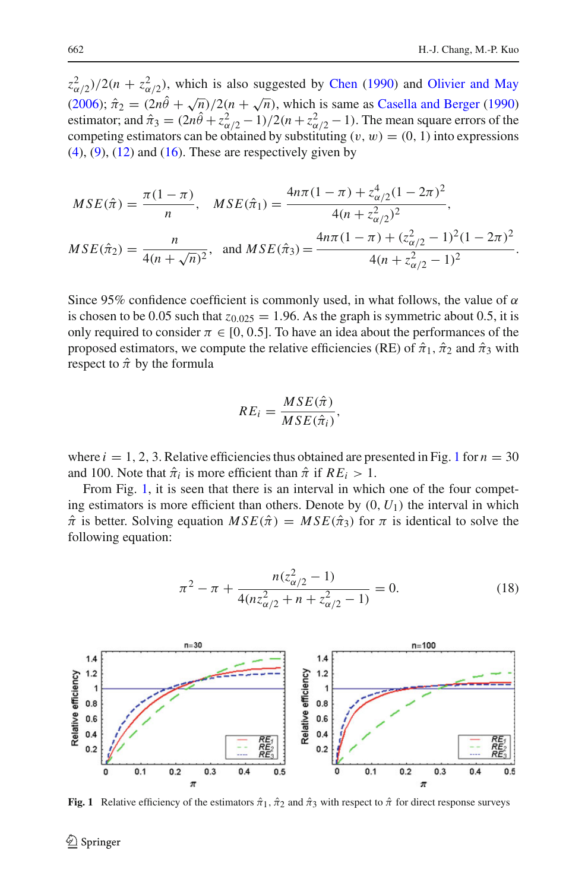$z_{\alpha/2}^2$ )/2(*n* +  $z_{\alpha/2}^2$ ), which is also suggested by [Chen](#page-16-12) [\(1990](#page-16-12)) and [Olivier and May](#page-17-5) [\(2006\)](#page-17-5);  $\hat{\pi}_2 = (2n\hat{\theta} + \sqrt{n})/2(n + \sqrt{n})$ , which is same as [Casella and Berger](#page-16-16) [\(1990\)](#page-16-16) estimator; and  $\hat{\pi}_3 = (2n\hat{\theta} + z_{\alpha/2}^2 - 1)/2(n + z_{\alpha/2}^2 - 1)$ . The mean square errors of the competing estimators can be obtained by substituting  $(v, w) = (0, 1)$  into expressions  $(4)$ ,  $(9)$ ,  $(12)$  and  $(16)$ . These are respectively given by

$$
MSE(\hat{\pi}) = \frac{\pi (1 - \pi)}{n}, \quad MSE(\hat{\pi}_1) = \frac{4n\pi (1 - \pi) + z_{\alpha/2}^4 (1 - 2\pi)^2}{4(n + z_{\alpha/2}^2)^2},
$$

$$
MSE(\hat{\pi}_2) = \frac{n}{4(n + \sqrt{n})^2}, \text{ and } MSE(\hat{\pi}_3) = \frac{4n\pi (1 - \pi) + (z_{\alpha/2}^2 - 1)^2 (1 - 2\pi)^2}{4(n + z_{\alpha/2}^2 - 1)^2}.
$$

Since 95% confidence coefficient is commonly used, in what follows, the value of  $\alpha$ is chosen to be 0.05 such that  $z_{0.025} = 1.96$ . As the graph is symmetric about 0.5, it is only required to consider  $\pi \in [0, 0.5]$ . To have an idea about the performances of the proposed estimators, we compute the relative efficiencies (RE) of  $\hat{\pi}_1$ ,  $\hat{\pi}_2$  and  $\hat{\pi}_3$  with respect to  $\hat{\pi}$  by the formula

$$
RE_i = \frac{MSE(\hat{\pi})}{MSE(\hat{\pi}_i)},
$$

where  $i = 1, 2, 3$  $i = 1, 2, 3$  $i = 1, 2, 3$ . Relative efficiencies thus obtained are presented in Fig. 1 for  $n = 30$ and 100. Note that  $\hat{\pi}_i$  is more efficient than  $\hat{\pi}$  if  $RE_i > 1$ .

From Fig. [1,](#page-7-0) it is seen that there is an interval in which one of the four competing estimators is more efficient than others. Denote by  $(0, U_1)$  the interval in which  $\hat{\pi}$  is better. Solving equation  $MSE(\hat{\pi}) = MSE(\hat{\pi}_3)$  for  $\pi$  is identical to solve the following equation:

$$
\pi^2 - \pi + \frac{n(z_{\alpha/2}^2 - 1)}{4(nz_{\alpha/2}^2 + n + z_{\alpha/2}^2 - 1)} = 0.
$$
 (18)

<span id="page-7-1"></span>

<span id="page-7-0"></span>**Fig. 1** Relative efficiency of the estimators  $\hat{\pi}_1$ ,  $\hat{\pi}_2$  and  $\hat{\pi}_3$  with respect to  $\hat{\pi}$  for direct response surveys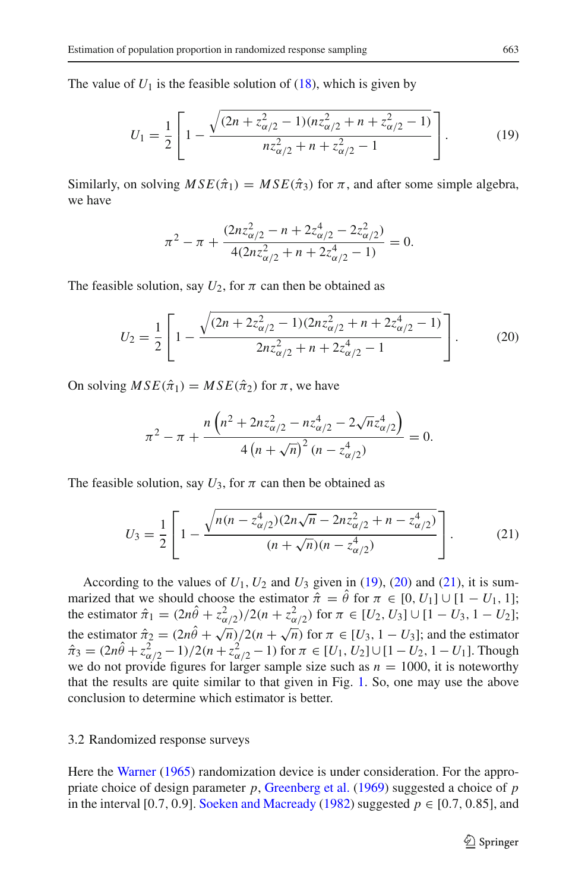<span id="page-8-0"></span>The value of  $U_1$  is the feasible solution of  $(18)$ , which is given by

$$
U_1 = \frac{1}{2} \left[ 1 - \frac{\sqrt{(2n + z_{\alpha/2}^2 - 1)(nz_{\alpha/2}^2 + n + z_{\alpha/2}^2 - 1)}}{nz_{\alpha/2}^2 + n + z_{\alpha/2}^2 - 1} \right].
$$
 (19)

Similarly, on solving  $MSE(\hat{\pi}_1) = MSE(\hat{\pi}_3)$  for  $\pi$ , and after some simple algebra, we have

$$
\pi^2 - \pi + \frac{(2nz_{\alpha/2}^2 - n + 2z_{\alpha/2}^4 - 2z_{\alpha/2}^2)}{4(2nz_{\alpha/2}^2 + n + 2z_{\alpha/2}^4 - 1)} = 0.
$$

<span id="page-8-1"></span>The feasible solution, say  $U_2$ , for  $\pi$  can then be obtained as

$$
U_2 = \frac{1}{2} \left[ 1 - \frac{\sqrt{(2n + 2z_{\alpha/2}^2 - 1)(2nz_{\alpha/2}^2 + n + 2z_{\alpha/2}^4 - 1)}}{2nz_{\alpha/2}^2 + n + 2z_{\alpha/2}^4 - 1} \right].
$$
 (20)

On solving  $MSE(\hat{\pi}_1) = MSE(\hat{\pi}_2)$  for  $\pi$ , we have

$$
\pi^{2} - \pi + \frac{n \left( n^{2} + 2nz_{\alpha/2}^{2} - nz_{\alpha/2}^{4} - 2\sqrt{n}z_{\alpha/2}^{4} \right)}{4 \left( n + \sqrt{n} \right)^{2} \left( n - z_{\alpha/2}^{4} \right)} = 0.
$$

The feasible solution, say  $U_3$ , for  $\pi$  can then be obtained as

$$
U_3 = \frac{1}{2} \left[ 1 - \frac{\sqrt{n(n - z_{\alpha/2}^4)(2n\sqrt{n} - 2nz_{\alpha/2}^2 + n - z_{\alpha/2}^4)} }{(n + \sqrt{n})(n - z_{\alpha/2}^4)} \right].
$$
 (21)

<span id="page-8-2"></span>According to the values of  $U_1$ ,  $U_2$  and  $U_3$  given in [\(19\)](#page-8-0), [\(20\)](#page-8-1) and [\(21\)](#page-8-2), it is summarized that we should choose the estimator  $\hat{\pi} = \hat{\theta}$  for  $\pi \in [0, U_1] \cup [1 - U_1, 1]$ ; the estimator  $\hat{\pi}_1 = (2n\hat{\theta} + z_{\alpha/2}^2)/2(n + z_{\alpha/2}^2)$  for  $\pi \in [U_2, U_3] \cup [1 - U_3, 1 - U_2]$ ; the estimator  $\hat{\pi}_2 = (2n\hat{\theta} + \sqrt{n})/2(n + \sqrt{n})$  for  $\pi \in [U_3, 1 - U_3]$ ; and the estimator  $\hat{\pi}_3 = (2n\hat{\theta} + z_{\alpha/2}^2 - 1)/2(n + z_{\alpha/2}^2 - 1)$  for  $\pi \in [U_1, U_2] \cup [1 - U_2, 1 - U_1]$ . Though we do not provide figures for larger sample size such as  $n = 1000$ , it is noteworthy that the results are quite similar to that given in Fig. [1.](#page-7-0) So, one may use the above conclusion to determine which estimator is better.

#### 3.2 Randomized response surveys

Here the [Warner](#page-17-1) [\(1965\)](#page-17-1) randomization device is under consideration. For the appropriate choice of design parameter *p*, [Greenberg et al.](#page-16-14) [\(1969](#page-16-14)) suggested a choice of *p* in the interval [0.7, 0.9]. [Soeken and Macready](#page-17-2) [\(1982\)](#page-17-2) suggested  $p \in [0.7, 0.85]$ , and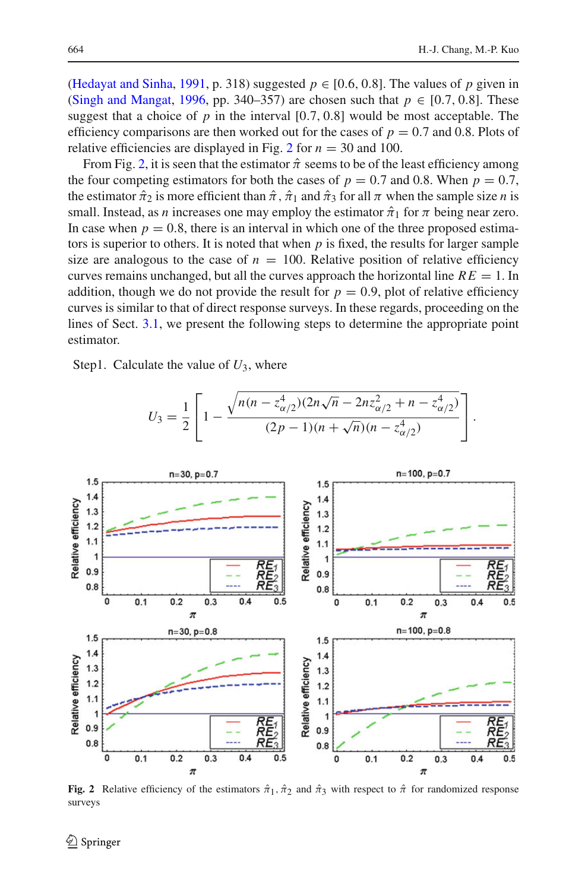$\overline{\phantom{a}}$ 

[\(Hedayat and Sinha](#page-16-17), [1991,](#page-16-17) p. 318) suggested  $p \in [0.6, 0.8]$ . The values of *p* given in [\(Singh and Mangat](#page-17-6), [1996,](#page-17-6) pp. 340–357) are chosen such that  $p \in [0.7, 0.8]$ . These suggest that a choice of  $p$  in the interval  $[0.7, 0.8]$  would be most acceptable. The efficiency comparisons are then worked out for the cases of  $p = 0.7$  and 0.8. Plots of relative efficiencies are displayed in Fig. [2](#page-9-0) for  $n = 30$  and 100.

From Fig. [2,](#page-9-0) it is seen that the estimator  $\hat{\pi}$  seems to be of the least efficiency among the four competing estimators for both the cases of  $p = 0.7$  and 0.8. When  $p = 0.7$ , the estimator  $\hat{\pi}_2$  is more efficient than  $\hat{\pi}$ ,  $\hat{\pi}_1$  and  $\hat{\pi}_3$  for all  $\pi$  when the sample size *n* is small. Instead, as *n* increases one may employ the estimator  $\hat{\pi}_1$  for  $\pi$  being near zero. In case when  $p = 0.8$ , there is an interval in which one of the three proposed estimators is superior to others. It is noted that when *p* is fixed, the results for larger sample size are analogous to the case of  $n = 100$ . Relative position of relative efficiency curves remains unchanged, but all the curves approach the horizontal line  $RE = 1$ . In addition, though we do not provide the result for  $p = 0.9$ , plot of relative efficiency curves is similar to that of direct response surveys. In these regards, proceeding on the lines of Sect. [3.1,](#page-6-3) we present the following steps to determine the appropriate point estimator.

Step1. Calculate the value of *U*3, where

 $\overline{a}$ 



<span id="page-9-0"></span>**Fig. 2** Relative efficiency of the estimators  $\hat{\pi}_1$ ,  $\hat{\pi}_2$  and  $\hat{\pi}_3$  with respect to  $\hat{\pi}$  for randomized response surveys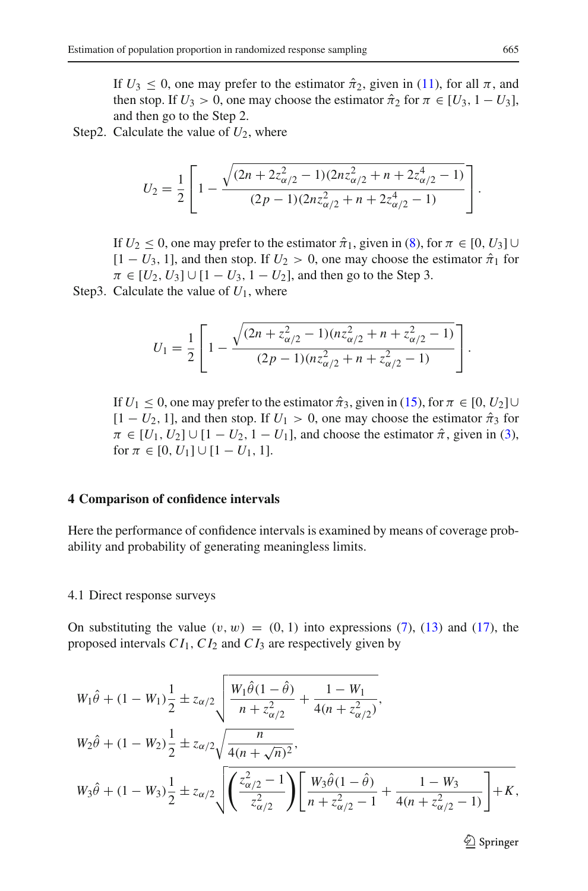If  $U_3 \leq 0$ , one may prefer to the estimator  $\hat{\pi}_2$ , given in [\(11\)](#page-5-1), for all  $\pi$ , and then stop. If  $U_3 > 0$ , one may choose the estimator  $\hat{\pi}_2$  for  $\pi \in [U_3, 1 - U_3]$ , and then go to the Step 2.

Step2. Calculate the value of  $U_2$ , where

$$
U_2 = \frac{1}{2} \left[ 1 - \frac{\sqrt{(2n + 2z_{\alpha/2}^2 - 1)(2nz_{\alpha/2}^2 + n + 2z_{\alpha/2}^4 - 1)}}{(2p - 1)(2nz_{\alpha/2}^2 + n + 2z_{\alpha/2}^4 - 1)} \right].
$$

If *U*<sub>2</sub>  $\leq$  0, one may prefer to the estimator  $\hat{\pi}_1$ , given in [\(8\)](#page-3-4), for  $\pi \in [0, U_3]$  ∪  $[1-U_3, 1]$ , and then stop. If  $U_2 > 0$ , one may choose the estimator  $\hat{\pi}_1$  for  $\pi \in [U_2, U_3] \cup [1 - U_3, 1 - U_2]$ , and then go to the Step 3.

Step3. Calculate the value of *U*1, where

$$
U_1 = \frac{1}{2} \left[ 1 - \frac{\sqrt{(2n + z_{\alpha/2}^2 - 1)(nz_{\alpha/2}^2 + n + z_{\alpha/2}^2 - 1)}}{(2p - 1)(nz_{\alpha/2}^2 + n + z_{\alpha/2}^2 - 1)} \right].
$$

If *U*<sub>1</sub>  $\leq$  0, one may prefer to the estimator  $\hat{\pi}_3$ , given in [\(15\)](#page-6-1), for  $\pi \in [0, U_2] \cup$  $[1 - U_2, 1]$ , and then stop. If  $U_1 > 0$ , one may choose the estimator  $\hat{\pi}_3$  for  $\pi \in [U_1, U_2] \cup [1 - U_2, 1 - U_1]$ , and choose the estimator  $\hat{\pi}$ , given in [\(3\)](#page-3-3), for  $\pi \in [0, U_1] \cup [1 - U_1, 1].$ 

#### <span id="page-10-0"></span>**4 Comparison of confidence intervals**

Here the performance of confidence intervals is examined by means of coverage probability and probability of generating meaningless limits.

#### 4.1 Direct response surveys

On substituting the value  $(v, w) = (0, 1)$  into expressions [\(7\)](#page-3-2), [\(13\)](#page-5-3) and [\(17\)](#page-6-4), the proposed intervals *C I*1,*C I*<sup>2</sup> and *C I*<sup>3</sup> are respectively given by

$$
W_1\hat{\theta} + (1 - W_1)\frac{1}{2} \pm z_{\alpha/2} \sqrt{\frac{W_1\hat{\theta}(1 - \hat{\theta})}{n + z_{\alpha/2}^2} + \frac{1 - W_1}{4(n + z_{\alpha/2}^2)}},
$$
  
\n
$$
W_2\hat{\theta} + (1 - W_2)\frac{1}{2} \pm z_{\alpha/2} \sqrt{\frac{n}{4(n + \sqrt{n})^2}},
$$
  
\n
$$
W_3\hat{\theta} + (1 - W_3)\frac{1}{2} \pm z_{\alpha/2} \sqrt{\left(\frac{z_{\alpha/2}^2 - 1}{z_{\alpha/2}^2}\right) \left[\frac{W_3\hat{\theta}(1 - \hat{\theta})}{n + z_{\alpha/2}^2 - 1} + \frac{1 - W_3}{4(n + z_{\alpha/2}^2 - 1)}\right] + K},
$$

<sup>2</sup> Springer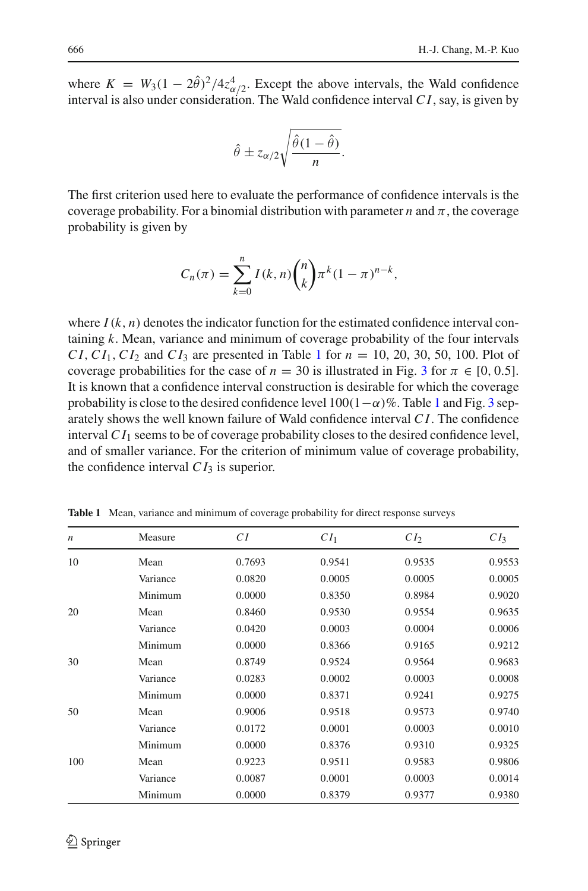where  $K = W_3(1 - 2\hat{\theta})^2/4z_{\alpha/2}^4$ . Except the above intervals, the Wald confidence interval is also under consideration. The Wald confidence interval *C I*, say, is given by

$$
\hat{\theta} \pm z_{\alpha/2} \sqrt{\frac{\hat{\theta}(1-\hat{\theta})}{n}}.
$$

The first criterion used here to evaluate the performance of confidence intervals is the coverage probability. For a binomial distribution with parameter *n* and  $\pi$ , the coverage probability is given by

$$
C_n(\pi) = \sum_{k=0}^n I(k, n) {n \choose k} \pi^k (1 - \pi)^{n-k},
$$

where  $I(k, n)$  denotes the indicator function for the estimated confidence interval containing *k*. Mean, variance and minimum of coverage probability of the four intervals *CI*,  $CI_1$  $CI_1$ ,  $CI_2$  and  $CI_3$  are presented in Table 1 for  $n = 10, 20, 30, 50, 100$ . Plot of coverage probabilities for the case of  $n = 30$  $n = 30$  $n = 30$  is illustrated in Fig. 3 for  $\pi \in [0, 0.5]$ . It is known that a confidence interval construction is desirable for which the coverage probability is close to the desired confidence level  $100(1-\alpha)\%$  $100(1-\alpha)\%$ . Table 1 and Fig. [3](#page-12-0) separately shows the well known failure of Wald confidence interval *C I*. The confidence interval  $CI_1$  seems to be of coverage probability closes to the desired confidence level, and of smaller variance. For the criterion of minimum value of coverage probability, the confidence interval  $CI_3$  is superior.

<span id="page-11-0"></span>

| $\boldsymbol{n}$ | Measure  | СI     | CI <sub>1</sub> | CI <sub>2</sub> | CI <sub>3</sub> |
|------------------|----------|--------|-----------------|-----------------|-----------------|
| 10               | Mean     | 0.7693 | 0.9541          | 0.9535          | 0.9553          |
|                  | Variance | 0.0820 | 0.0005          | 0.0005          | 0.0005          |
|                  | Minimum  | 0.0000 | 0.8350          | 0.8984          | 0.9020          |
| 20               | Mean     | 0.8460 | 0.9530          | 0.9554          | 0.9635          |
|                  | Variance | 0.0420 | 0.0003          | 0.0004          | 0.0006          |
|                  | Minimum  | 0.0000 | 0.8366          | 0.9165          | 0.9212          |
| 30               | Mean     | 0.8749 | 0.9524          | 0.9564          | 0.9683          |
|                  | Variance | 0.0283 | 0.0002          | 0.0003          | 0.0008          |
|                  | Minimum  | 0.0000 | 0.8371          | 0.9241          | 0.9275          |
| 50               | Mean     | 0.9006 | 0.9518          | 0.9573          | 0.9740          |
|                  | Variance | 0.0172 | 0.0001          | 0.0003          | 0.0010          |
|                  | Minimum  | 0.0000 | 0.8376          | 0.9310          | 0.9325          |
| 100              | Mean     | 0.9223 | 0.9511          | 0.9583          | 0.9806          |
|                  | Variance | 0.0087 | 0.0001          | 0.0003          | 0.0014          |
|                  | Minimum  | 0.0000 | 0.8379          | 0.9377          | 0.9380          |

**Table 1** Mean, variance and minimum of coverage probability for direct response surveys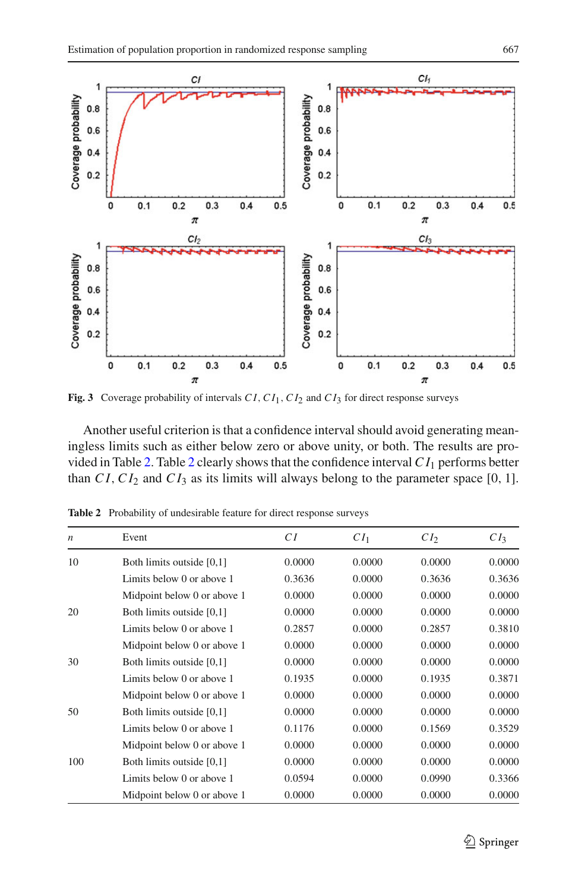

<span id="page-12-0"></span>**Fig. 3** Coverage probability of intervals  $CI$ ,  $CI_1$ ,  $CI_2$  and  $CI_3$  for direct response surveys

Another useful criterion is that a confidence interval should avoid generating meaningless limits such as either below zero or above unity, or both. The results are pro-vided in Table [2.](#page-12-1) Table [2](#page-12-1) clearly shows that the confidence interval  $CI_1$  performs better than  $CI$ ,  $CI_2$  and  $CI_3$  as its limits will always belong to the parameter space [0, 1].

| $\boldsymbol{n}$ | Event                       | CI     | CI <sub>1</sub> | CI <sub>2</sub> | CI <sub>3</sub> |
|------------------|-----------------------------|--------|-----------------|-----------------|-----------------|
| 10               | Both limits outside [0,1]   | 0.0000 | 0.0000          | 0.0000          | 0.0000          |
|                  | Limits below 0 or above 1   | 0.3636 | 0.0000          | 0.3636          | 0.3636          |
|                  | Midpoint below 0 or above 1 | 0.0000 | 0.0000          | 0.0000          | 0.0000          |
| 20               | Both limits outside [0,1]   | 0.0000 | 0.0000          | 0.0000          | 0.0000          |
|                  | Limits below 0 or above 1   | 0.2857 | 0.0000          | 0.2857          | 0.3810          |
|                  | Midpoint below 0 or above 1 | 0.0000 | 0.0000          | 0.0000          | 0.0000          |
| 30               | Both limits outside [0,1]   | 0.0000 | 0.0000          | 0.0000          | 0.0000          |
|                  | Limits below 0 or above 1   | 0.1935 | 0.0000          | 0.1935          | 0.3871          |
|                  | Midpoint below 0 or above 1 | 0.0000 | 0.0000          | 0.0000          | 0.0000          |
| 50               | Both limits outside [0,1]   | 0.0000 | 0.0000          | 0.0000          | 0.0000          |
|                  | Limits below 0 or above 1   | 0.1176 | 0.0000          | 0.1569          | 0.3529          |
|                  | Midpoint below 0 or above 1 | 0.0000 | 0.0000          | 0.0000          | 0.0000          |
| 100              | Both limits outside [0,1]   | 0.0000 | 0.0000          | 0.0000          | 0.0000          |
|                  | Limits below 0 or above 1   | 0.0594 | 0.0000          | 0.0990          | 0.3366          |
|                  | Midpoint below 0 or above 1 | 0.0000 | 0.0000          | 0.0000          | 0.0000          |

<span id="page-12-1"></span>**Table 2** Probability of undesirable feature for direct response surveys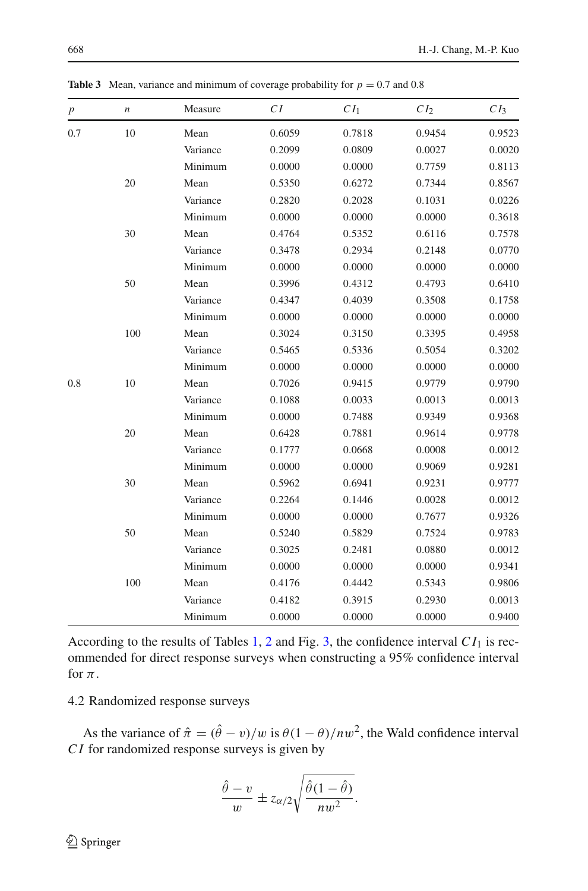<span id="page-13-0"></span>

| $\boldsymbol{p}$ | n   | Measure  | CI     | CI <sub>1</sub> | CI <sub>2</sub> | CI <sub>3</sub> |
|------------------|-----|----------|--------|-----------------|-----------------|-----------------|
| 0.7              | 10  | Mean     | 0.6059 | 0.7818          | 0.9454          | 0.9523          |
|                  |     | Variance | 0.2099 | 0.0809          | 0.0027          | 0.0020          |
|                  |     | Minimum  | 0.0000 | 0.0000          | 0.7759          | 0.8113          |
|                  | 20  | Mean     | 0.5350 | 0.6272          | 0.7344          | 0.8567          |
|                  |     | Variance | 0.2820 | 0.2028          | 0.1031          | 0.0226          |
|                  |     | Minimum  | 0.0000 | 0.0000          | 0.0000          | 0.3618          |
|                  | 30  | Mean     | 0.4764 | 0.5352          | 0.6116          | 0.7578          |
|                  |     | Variance | 0.3478 | 0.2934          | 0.2148          | 0.0770          |
|                  |     | Minimum  | 0.0000 | 0.0000          | 0.0000          | 0.0000          |
|                  | 50  | Mean     | 0.3996 | 0.4312          | 0.4793          | 0.6410          |
|                  |     | Variance | 0.4347 | 0.4039          | 0.3508          | 0.1758          |
|                  |     | Minimum  | 0.0000 | 0.0000          | 0.0000          | 0.0000          |
|                  | 100 | Mean     | 0.3024 | 0.3150          | 0.3395          | 0.4958          |
|                  |     | Variance | 0.5465 | 0.5336          | 0.5054          | 0.3202          |
|                  |     | Minimum  | 0.0000 | 0.0000          | 0.0000          | 0.0000          |
| 0.8              | 10  | Mean     | 0.7026 | 0.9415          | 0.9779          | 0.9790          |
|                  |     | Variance | 0.1088 | 0.0033          | 0.0013          | 0.0013          |
|                  |     | Minimum  | 0.0000 | 0.7488          | 0.9349          | 0.9368          |
|                  | 20  | Mean     | 0.6428 | 0.7881          | 0.9614          | 0.9778          |
|                  |     | Variance | 0.1777 | 0.0668          | 0.0008          | 0.0012          |
|                  |     | Minimum  | 0.0000 | 0.0000          | 0.9069          | 0.9281          |
|                  | 30  | Mean     | 0.5962 | 0.6941          | 0.9231          | 0.9777          |
|                  |     | Variance | 0.2264 | 0.1446          | 0.0028          | 0.0012          |
|                  |     | Minimum  | 0.0000 | 0.0000          | 0.7677          | 0.9326          |
|                  | 50  | Mean     | 0.5240 | 0.5829          | 0.7524          | 0.9783          |
|                  |     | Variance | 0.3025 | 0.2481          | 0.0880          | 0.0012          |
|                  |     | Minimum  | 0.0000 | 0.0000          | 0.0000          | 0.9341          |
|                  | 100 | Mean     | 0.4176 | 0.4442          | 0.5343          | 0.9806          |
|                  |     | Variance | 0.4182 | 0.3915          | 0.2930          | 0.0013          |
|                  |     | Minimum  | 0.0000 | 0.0000          | 0.0000          | 0.9400          |

**Table 3** Mean, variance and minimum of coverage probability for  $p = 0.7$  and 0.8

According to the results of Tables [1,](#page-11-0) [2](#page-12-1) and Fig. [3,](#page-12-0) the confidence interval  $CI_1$  is recommended for direct response surveys when constructing a 95% confidence interval for  $\pi$ .

## 4.2 Randomized response surveys

As the variance of  $\hat{\pi} = (\hat{\theta} - v)/w$  is  $\theta(1 - \theta)/nw^2$ , the Wald confidence interval *C I* for randomized response surveys is given by

$$
\frac{\hat{\theta} - v}{w} \pm z_{\alpha/2} \sqrt{\frac{\hat{\theta}(1 - \hat{\theta})}{nw^2}}.
$$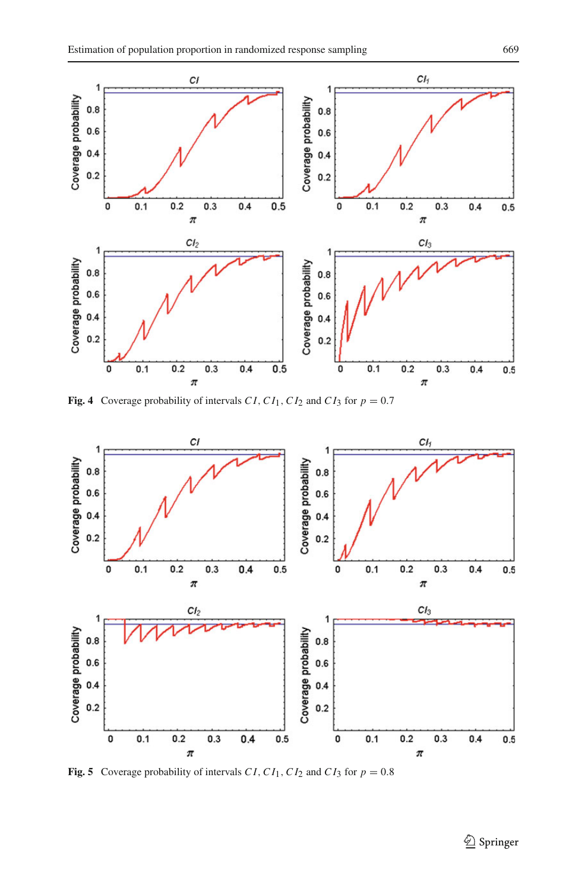

**Fig. 4** Coverage probability of intervals *C1*,  $CI_1$ ,  $CI_2$  and  $CI_3$  for  $p = 0.7$ 

<span id="page-14-0"></span>

<span id="page-14-1"></span>**Fig. 5** Coverage probability of intervals CI, CI<sub>1</sub>, CI<sub>2</sub> and CI<sub>3</sub> for  $p = 0.8$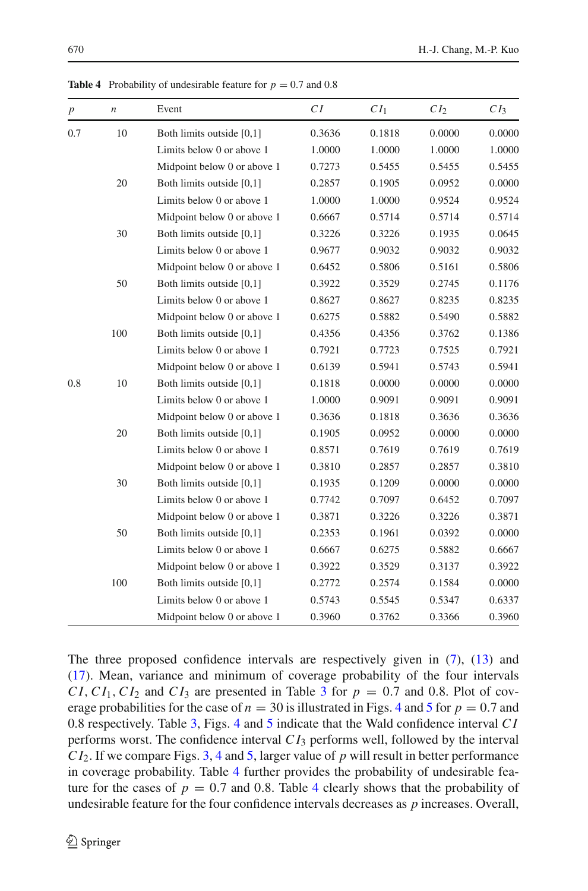[\(17\)](#page-6-4). Mean, variance and minimum of coverage probability of the four intervals  $CI, CI_1, CI_2$  and  $CI_3$  $CI_3$  are presented in Table 3 for  $p = 0.7$  and 0.8. Plot of coverage probabilities for the case of  $n = 30$  is illustrated in Figs. [4](#page-14-0) and [5](#page-14-1) for  $p = 0.7$  and 0.8 respectively. Table [3,](#page-13-0) Figs. [4](#page-14-0) and [5](#page-14-1) indicate that the Wald confidence interval *C I* performs worst. The confidence interval *C I*<sup>3</sup> performs well, followed by the interval *C I*2. If we compare Figs. [3,](#page-12-0) [4](#page-14-0) and [5,](#page-14-1) larger value of *p* will result in better performance in coverage probability. Table [4](#page-15-0) further provides the probability of undesirable feature for the cases of  $p = 0.7$  and 0.8. Table [4](#page-15-0) clearly shows that the probability of undesirable feature for the four confidence intervals decreases as *p* increases. Overall,

The three proposed confidence intervals are respectively given in [\(7\)](#page-3-2), [\(13\)](#page-5-3) and

<span id="page-15-0"></span>**Table 4** Probability of undesirable feature for  $p = 0.7$  and 0.8

| $\boldsymbol{p}$ | $\boldsymbol{n}$ | Event                       | CI     | CI <sub>1</sub> | CI <sub>2</sub> | CI <sub>3</sub> |
|------------------|------------------|-----------------------------|--------|-----------------|-----------------|-----------------|
| 0.7              | 10               | Both limits outside [0,1]   | 0.3636 | 0.1818          | 0.0000          | 0.0000          |
|                  |                  | Limits below 0 or above 1   | 1.0000 | 1.0000          | 1.0000          | 1.0000          |
|                  |                  | Midpoint below 0 or above 1 | 0.7273 | 0.5455          | 0.5455          | 0.5455          |
|                  | 20               | Both limits outside [0,1]   | 0.2857 | 0.1905          | 0.0952          | 0.0000          |
|                  |                  | Limits below 0 or above 1   | 1.0000 | 1.0000          | 0.9524          | 0.9524          |
|                  |                  | Midpoint below 0 or above 1 | 0.6667 | 0.5714          | 0.5714          | 0.5714          |
|                  | 30               | Both limits outside [0,1]   | 0.3226 | 0.3226          | 0.1935          | 0.0645          |
|                  |                  | Limits below 0 or above 1   | 0.9677 | 0.9032          | 0.9032          | 0.9032          |
|                  |                  | Midpoint below 0 or above 1 | 0.6452 | 0.5806          | 0.5161          | 0.5806          |
|                  | 50               | Both limits outside [0,1]   | 0.3922 | 0.3529          | 0.2745          | 0.1176          |
|                  |                  | Limits below 0 or above 1   | 0.8627 | 0.8627          | 0.8235          | 0.8235          |
|                  |                  | Midpoint below 0 or above 1 | 0.6275 | 0.5882          | 0.5490          | 0.5882          |
|                  | 100              | Both limits outside [0,1]   | 0.4356 | 0.4356          | 0.3762          | 0.1386          |
|                  |                  | Limits below 0 or above 1   | 0.7921 | 0.7723          | 0.7525          | 0.7921          |
|                  |                  | Midpoint below 0 or above 1 | 0.6139 | 0.5941          | 0.5743          | 0.5941          |
| 0.8              | 10               | Both limits outside [0,1]   | 0.1818 | 0.0000          | 0.0000          | 0.0000          |
|                  |                  | Limits below 0 or above 1   | 1.0000 | 0.9091          | 0.9091          | 0.9091          |
|                  |                  | Midpoint below 0 or above 1 | 0.3636 | 0.1818          | 0.3636          | 0.3636          |
|                  | 20               | Both limits outside [0,1]   | 0.1905 | 0.0952          | 0.0000          | 0.0000          |
|                  |                  | Limits below 0 or above 1   | 0.8571 | 0.7619          | 0.7619          | 0.7619          |
|                  |                  | Midpoint below 0 or above 1 | 0.3810 | 0.2857          | 0.2857          | 0.3810          |
|                  | 30               | Both limits outside [0,1]   | 0.1935 | 0.1209          | 0.0000          | 0.0000          |
|                  |                  | Limits below 0 or above 1   | 0.7742 | 0.7097          | 0.6452          | 0.7097          |
|                  |                  | Midpoint below 0 or above 1 | 0.3871 | 0.3226          | 0.3226          | 0.3871          |
|                  | 50               | Both limits outside [0,1]   | 0.2353 | 0.1961          | 0.0392          | 0.0000          |
|                  |                  | Limits below 0 or above 1   | 0.6667 | 0.6275          | 0.5882          | 0.6667          |
|                  |                  | Midpoint below 0 or above 1 | 0.3922 | 0.3529          | 0.3137          | 0.3922          |
|                  | 100              | Both limits outside [0,1]   | 0.2772 | 0.2574          | 0.1584          | 0.0000          |
|                  |                  | Limits below 0 or above 1   | 0.5743 | 0.5545          | 0.5347          | 0.6337          |
|                  |                  | Midpoint below 0 or above 1 | 0.3960 | 0.3762          | 0.3366          | 0.3960          |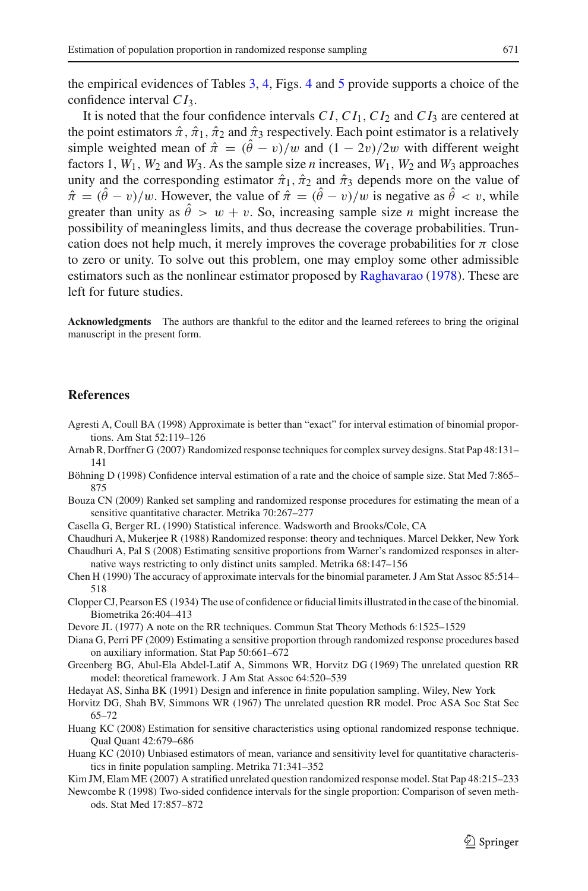the empirical evidences of Tables [3,](#page-13-0) [4,](#page-15-0) Figs. [4](#page-14-0) and [5](#page-14-1) provide supports a choice of the confidence interval *C I*3.

It is noted that the four confidence intervals *C I*,*C I*1,*C I*<sup>2</sup> and *C I*<sup>3</sup> are centered at the point estimators  $\hat{\pi}$ ,  $\hat{\pi}_1$ ,  $\hat{\pi}_2$  and  $\hat{\pi}_3$  respectively. Each point estimator is a relatively simple weighted mean of  $\hat{\pi} = (\hat{\theta} - v)/w$  and  $(1 - 2v)/2w$  with different weight factors 1,  $W_1$ ,  $W_2$  and  $W_3$ . As the sample size *n* increases,  $W_1$ ,  $W_2$  and  $W_3$  approaches unity and the corresponding estimator  $\hat{\pi}_1$ ,  $\hat{\pi}_2$  and  $\hat{\pi}_3$  depends more on the value of  $\hat{\pi} = (\hat{\theta} - v)/w$ . However, the value of  $\hat{\pi} = (\hat{\theta} - v)/w$  is negative as  $\hat{\theta} < v$ , while greater than unity as  $\hat{\theta} > w + v$ . So, increasing sample size *n* might increase the possibility of meaningless limits, and thus decrease the coverage probabilities. Truncation does not help much, it merely improves the coverage probabilities for  $\pi$  close to zero or unity. To solve out this problem, one may employ some other admissible estimators such as the nonlinear estimator proposed by [Raghavarao](#page-17-7) [\(1978\)](#page-17-7). These are left for future studies.

**Acknowledgments** The authors are thankful to the editor and the learned referees to bring the original manuscript in the present form.

### **References**

- <span id="page-16-9"></span>Agresti A, Coull BA (1998) Approximate is better than "exact" for interval estimation of binomial proportions. Am Stat 52:119–126
- <span id="page-16-1"></span>Arnab R, Dorffner G (2007) Randomized response techniques for complex survey designs. Stat Pap 48:131– 141
- <span id="page-16-10"></span>Böhning D (1998) Confidence interval estimation of a rate and the choice of sample size. Stat Med 7:865– 875
- <span id="page-16-5"></span>Bouza CN (2009) Ranked set sampling and randomized response procedures for estimating the mean of a sensitive quantitative character. Metrika 70:267–277
- <span id="page-16-16"></span>Casella G, Berger RL (1990) Statistical inference. Wadsworth and Brooks/Cole, CA
- <span id="page-16-0"></span>Chaudhuri A, Mukerjee R (1988) Randomized response: theory and techniques. Marcel Dekker, New York
- <span id="page-16-3"></span>Chaudhuri A, Pal S (2008) Estimating sensitive proportions from Warner's randomized responses in alternative ways restricting to only distinct units sampled. Metrika 68:147–156
- <span id="page-16-12"></span>Chen H (1990) The accuracy of approximate intervals for the binomial parameter. J Am Stat Assoc 85:514– 518
- <span id="page-16-8"></span>Clopper CJ, Pearson ES (1934) The use of confidence or fiducial limits illustrated in the case of the binomial. Biometrika 26:404–413
- <span id="page-16-15"></span>Devore JL (1977) A note on the RR techniques. Commun Stat Theory Methods 6:1525–1529
- <span id="page-16-6"></span>Diana G, Perri PF (2009) Estimating a sensitive proportion through randomized response procedures based on auxiliary information. Stat Pap 50:661–672
- <span id="page-16-14"></span>Greenberg BG, Abul-Ela Abdel-Latif A, Simmons WR, Horvitz DG (1969) The unrelated question RR model: theoretical framework. J Am Stat Assoc 64:520–539
- <span id="page-16-17"></span>Hedayat AS, Sinha BK (1991) Design and inference in finite population sampling. Wiley, New York
- <span id="page-16-13"></span>Horvitz DG, Shah BV, Simmons WR (1967) The unrelated question RR model. Proc ASA Soc Stat Sec 65–72
- <span id="page-16-4"></span>Huang KC (2008) Estimation for sensitive characteristics using optional randomized response technique. Qual Quant 42:679–686
- <span id="page-16-7"></span>Huang KC (2010) Unbiased estimators of mean, variance and sensitivity level for quantitative characteristics in finite population sampling. Metrika 71:341–352
- Kim JM, Elam ME (2007) A stratified unrelated question randomized response model. Stat Pap 48:215–233
- <span id="page-16-11"></span><span id="page-16-2"></span>Newcombe R (1998) Two-sided confidence intervals for the single proportion: Comparison of seven methods. Stat Med 17:857–872